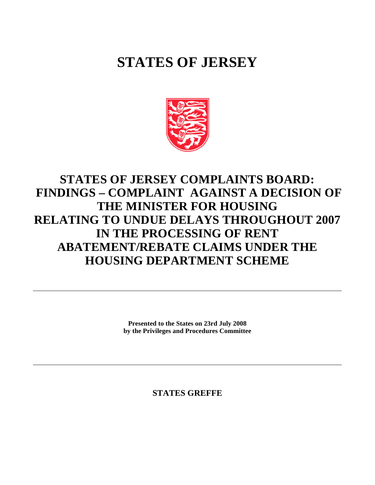# **STATES OF JERSEY**



# **STATES OF JERSEY COMPLAINTS BOARD: FINDINGS – COMPLAINT AGAINST A DECISION OF THE MINISTER FOR HOUSING RELATING TO UNDUE DELAYS THROUGHOUT 2007 IN THE PROCESSING OF RENT ABATEMENT/REBATE CLAIMS UNDER THE HOUSING DEPARTMENT SCHEME**

**Presented to the States on 23rd July 2008 by the Privileges and Procedures Committee**

**STATES GREFFE**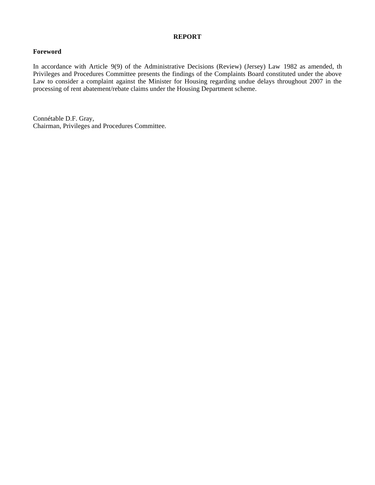#### **REPORT**

# **Foreword**

In accordance with Article 9(9) of the Administrative Decisions (Review) (Jersey) Law 1982 as amended, th Privileges and Procedures Committee presents the findings of the Complaints Board constituted under the above Law to consider a complaint against the Minister for Housing regarding undue delays throughout 2007 in the processing of rent abatement/rebate claims under the Housing Department scheme.

Connétable D.F. Gray, Chairman, Privileges and Procedures Committee.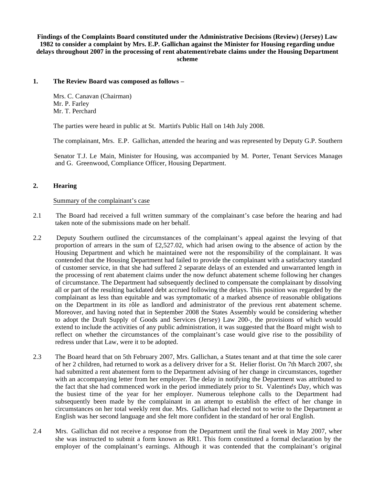**Findings of the Complaints Board constituted under the Administrative Decisions (Review) (Jersey) Law 1982 to consider a complaint by Mrs. E.P. Gallichan against the Minister for Housing regarding undue delays throughout 2007 in the processing of rent abatement/rebate claims under the Housing Department scheme**

#### **1. The Review Board was composed as follows –**

 Mrs. C. Canavan (Chairman) Mr. P. Farley Mr. T. Perchard

The parties were heard in public at St. Martin's Public Hall on 14th July 2008.

The complainant, Mrs. E.P. Gallichan, attended the hearing and was represented by Deputy G.P. Southern.

Senator T.J. Le Main, Minister for Housing, was accompanied by M. Porter, Tenant Services Manager and G. Greenwood, Compliance Officer, Housing Department.

# **2. Hearing**

#### Summary of the complainant's case

- 2.1 The Board had received a full written summary of the complainant's case before the hearing and had taken note of the submissions made on her behalf.
- 2.2 Deputy Southern outlined the circumstances of the complainant's appeal against the levying of that proportion of arrears in the sum of £2,527.02, which had arisen owing to the absence of action by the Housing Department and which he maintained were not the responsibility of the complainant. It was contended that the Housing Department had failed to provide the complainant with a satisfactory standard of customer service, in that she had suffered 2 separate delays of an extended and unwarranted length in the processing of rent abatement claims under the now defunct abatement scheme following her changes of circumstance. The Department had subsequently declined to compensate the complainant by dissolving all or part of the resulting backdated debt accrued following the delays. This position was regarded by the complainant as less than equitable and was symptomatic of a marked absence of reasonable obligations on the Department in its rôle as landlord and administrator of the previous rent abatement scheme. Moreover, and having noted that in September 2008 the States Assembly would be considering whether to adopt the Draft Supply of Goods and Services (Jersey) Law 200-, the provisions of which would extend to include the activities of any public administration, it was suggested that the Board might wish to reflect on whether the circumstances of the complainant's case would give rise to the possibility of redress under that Law, were it to be adopted.
- 2.3 The Board heard that on 5th February 2007, Mrs. Gallichan, a States tenant and at that time the sole carer of her 2 children, had returned to work as a delivery driver for a St. Helier florist. On 7th March 2007, she had submitted a rent abatement form to the Department advising of her change in circumstances, together with an accompanying letter from her employer. The delay in notifying the Department was attributed to the fact that she had commenced work in the period immediately prior to St. Valentine's Day, which was the busiest time of the year for her employer. Numerous telephone calls to the Department had subsequently been made by the complainant in an attempt to establish the effect of her change in circumstances on her total weekly rent due. Mrs. Gallichan had elected not to write to the Department as English was her second language and she felt more confident in the standard of her oral English.
- 2.4 Mrs. Gallichan did not receive a response from the Department until the final week in May 2007, when she was instructed to submit a form known as RR1. This form constituted a formal declaration by the employer of the complainant's earnings. Although it was contended that the complainant's original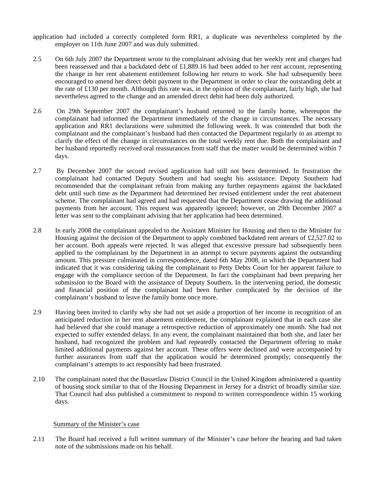- application had included a correctly completed form RR1, a duplicate was nevertheless completed by the employer on 11th June 2007 and was duly submitted.
- 2.5 On 6th July 2007 the Department wrote to the complainant advising that her weekly rent and charges had been reassessed and that a backdated debt of £1,889.16 had been added to her rent account, representing the change in her rent abatement entitlement following her return to work. She had subsequently been encouraged to amend her direct debit payment to the Department in order to clear the outstanding debt at the rate of £130 per month. Although this rate was, in the opinion of the complainant, fairly high, she had nevertheless agreed to the change and an amended direct debit had been duly authorized.
- 2.6 On 29th September 2007 the complainant's husband returned to the family home, whereupon the complainant had informed the Department immediately of the change in circumstances. The necessary application and RR1 declarations were submitted the following week. It was contended that both the complainant and the complainant's husband had then contacted the Department regularly in an attempt to clarify the effect of the change in circumstances on the total weekly rent due. Both the complainant and her husband reportedly received oral reassurances from staff that the matter would be determined within 7 days.
- 2.7 By December 2007 the second revised application had still not been determined. In frustration the complainant had contacted Deputy Southern and had sought his assistance. Deputy Southern had recommended that the complainant refrain from making any further repayments against the backdated debt until such time as the Department had determined her revised entitlement under the rent abatement scheme. The complainant had agreed and had requested that the Department cease drawing the additional payments from her account. This request was apparently ignored; however, on 29th December 2007 a letter was sent to the complainant advising that her application had been determined.
- 2.8 In early 2008 the complainant appealed to the Assistant Minister for Housing and then to the Minister for Housing against the decision of the Department to apply combined backdated rent arrears of £2,527.02 to her account. Both appeals were rejected. It was alleged that excessive pressure had subsequently been applied to the complainant by the Department in an attempt to secure payments against the outstanding amount. This pressure culminated in correspondence, dated 6th May 2008, in which the Department had indicated that it was considering taking the complainant to Petty Debts Court for her apparent failure to engage with the compliance section of the Department. In fact the complainant had been preparing her submission to the Board with the assistance of Deputy Southern. In the intervening period, the domestic and financial position of the complainant had been further complicated by the decision of the complainant's husband to leave the family home once more.
- 2.9 Having been invited to clarify why she had not set aside a proportion of her income in recognition of an anticipated reduction in her rent abatement entitlement, the complainant explained that in each case she had believed that she could manage a retrospective reduction of approximately one month. She had not expected to suffer extended delays. In any event, the complainant maintained that both she, and later her husband, had recognized the problem and had repeatedly contacted the Department offering to make limited additional payments against her account. These offers were declined and were accompanied by further assurances from staff that the application would be determined promptly; consequently the complainant's attempts to act responsibly had been frustrated.
- 2.10 The complainant noted that the Bassetlaw District Council in the United Kingdom administered a quantity of housing stock similar to that of the Housing Department in Jersey for a district of broadly similar size. That Council had also published a commitment to respond to written correspondence within 15 working days.

## Summary of the Minister's case

2.11 The Board had received a full written summary of the Minister's case before the hearing and had taken note of the submissions made on his behalf.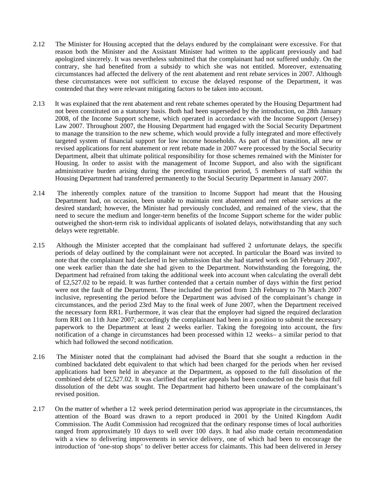- 2.12 The Minister for Housing accepted that the delays endured by the complainant were excessive. For that reason both the Minister and the Assistant Minister had written to the applicant previously and had apologized sincerely. It was nevertheless submitted that the complainant had not suffered unduly. On the contrary, she had benefited from a subsidy to which she was not entitled. Moreover, extenuating circumstances had affected the delivery of the rent abatement and rent rebate services in 2007. Although these circumstances were not sufficient to excuse the delayed response of the Department, it was contended that they were relevant mitigating factors to be taken into account.
- 2.13 It was explained that the rent abatement and rent rebate schemes operated by the Housing Department had not been constituted on a statutory basis. Both had been superseded by the introduction, on 28th January 2008, of the Income Support scheme, which operated in accordance with the Income Support (Jersey) Law 2007. Throughout 2007, the Housing Department had engaged with the Social Security Department to manage the transition to the new scheme, which would provide a fully integrated and more effectively targeted system of financial support for low income households. As part of that transition, all new or revised applications for rent abatement or rent rebate made in 2007 were processed by the Social Security Department, albeit that ultimate political responsibility for those schemes remained with the Minister for Housing. In order to assist with the management of Income Support, and also with the significant administrative burden arising during the preceding transition period, 5 members of staff within the Housing Department had transferred permanently to the Social Security Department in January 2007.
- 2.14 The inherently complex nature of the transition to Income Support had meant that the Housing Department had, on occasion, been unable to maintain rent abatement and rent rebate services at the desired standard; however, the Minister had previously concluded, and remained of the view, that the need to secure the medium and longer-term benefits of the Income Support scheme for the wider public outweighed the short-term risk to individual applicants of isolated delays, notwithstanding that any such delays were regrettable.
- 2.15 Although the Minister accepted that the complainant had suffered 2 unfortunate delays, the specific periods of delay outlined by the complainant were not accepted. In particular the Board was invited to note that the complainant had declared in her submission that she had started work on 5th February 2007, one week earlier than the date she had given to the Department. Notwithstanding the foregoing, the Department had refrained from taking the additional week into account when calculating the overall debt of £2,527.02 to be repaid. It was further contended that a certain number of days within the first period were not the fault of the Department. These included the period from 12th February to 7th March 2007 inclusive, representing the period before the Department was advised of the complainant's change in circumstances, and the period 23rd May to the final week of June 2007, when the Department received the necessary form RR1. Furthermore, it was clear that the employer had signed the required declaration form RR1 on 11th June 2007; accordingly the complainant had been in a position to submit the necessary paperwork to the Department at least 2 weeks earlier. Taking the foregoing into account, the first notification of a change in circumstances had been processed within 12 weeks- a similar period to that which had followed the second notification.
- 2.16 The Minister noted that the complainant had advised the Board that she sought a reduction in the combined backdated debt equivalent to that which had been charged for the periods when her revised applications had been held in abeyance at the Department, as opposed to the full dissolution of the combined debt of £2,527.02. It was clarified that earlier appeals had been conducted on the basis that full dissolution of the debt was sought. The Department had hitherto been unaware of the complainant's revised position.
- 2.17 On the matter of whether a 12 week period determination period was appropriate in the circumstances, the attention of the Board was drawn to a report produced in 2001 by the United Kingdom Audit Commission. The Audit Commission had recognized that the ordinary response times of local authorities ranged from approximately 10 days to well over 100 days. It had also made certain recommendation with a view to delivering improvements in service delivery, one of which had been to encourage the introduction of 'one-stop shops' to deliver better access for claimants. This had been delivered in Jersey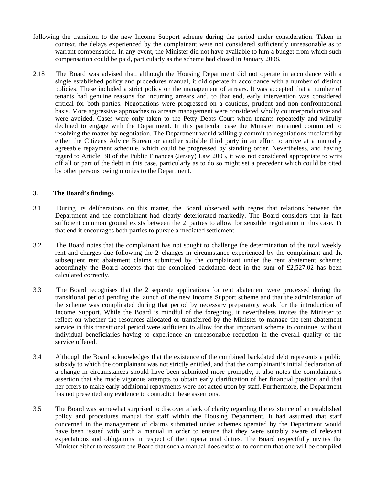- following the transition to the new Income Support scheme during the period under consideration. Taken in context, the delays experienced by the complainant were not considered sufficiently unreasonable as to warrant compensation. In any event, the Minister did not have available to him a budget from which such compensation could be paid, particularly as the scheme had closed in January 2008.
- 2.18 The Board was advised that, although the Housing Department did not operate in accordance with a single established policy and procedures manual, it did operate in accordance with a number of distinct policies. These included a strict policy on the management of arrears. It was accepted that a number of tenants had genuine reasons for incurring arrears and, to that end, early intervention was considered critical for both parties. Negotiations were progressed on a cautious, prudent and non-confrontational basis. More aggressive approaches to arrears management were considered wholly counterproductive and were avoided. Cases were only taken to the Petty Debts Court when tenants repeatedly and wilfully declined to engage with the Department. In this particular case the Minister remained committed to resolving the matter by negotiation. The Department would willingly commit to negotiations mediated by either the Citizens Advice Bureau or another suitable third party in an effort to arrive at a mutually agreeable repayment schedule, which could be progressed by standing order. Nevertheless, and having regard to Article 38 of the Public Finances (Jersey) Law 2005, it was not considered appropriate to write off all or part of the debt in this case, particularly as to do so might set a precedent which could be cited by other persons owing monies to the Department.

## **3. The Board's findings**

- 3.1 During its deliberations on this matter, the Board observed with regret that relations between the Department and the complainant had clearly deteriorated markedly. The Board considers that in fact sufficient common ground exists between the 2 parties to allow for sensible negotiation in this case. To that end it encourages both parties to pursue a mediated settlement.
- 3.2 The Board notes that the complainant has not sought to challenge the determination of the total weekly rent and charges due following the 2 changes in circumstance experienced by the complainant and the subsequent rent abatement claims submitted by the complainant under the rent abatement scheme; accordingly the Board accepts that the combined backdated debt in the sum of  $\text{\textsterling}2,527.02$  has been calculated correctly.
- 3.3 The Board recognises that the 2 separate applications for rent abatement were processed during the transitional period pending the launch of the new Income Support scheme and that the administration of the scheme was complicated during that period by necessary preparatory work for the introduction of Income Support. While the Board is mindful of the foregoing, it nevertheless invites the Minister to reflect on whether the resources allocated or transferred by the Minister to manage the rent abatement service in this transitional period were sufficient to allow for that important scheme to continue, without individual beneficiaries having to experience an unreasonable reduction in the overall quality of the service offered.
- 3.4 Although the Board acknowledges that the existence of the combined backdated debt represents a public subsidy to which the complainant was not strictly entitled, and that the complainant's initial declaration of a change in circumstances should have been submitted more promptly, it also notes the complainant's assertion that she made vigorous attempts to obtain early clarification of her financial position and that her offers to make early additional repayments were not acted upon by staff. Furthermore, the Department has not presented any evidence to contradict these assertions.
- 3.5 The Board was somewhat surprised to discover a lack of clarity regarding the existence of an established policy and procedures manual for staff within the Housing Department. It had assumed that staff concerned in the management of claims submitted under schemes operated by the Department would have been issued with such a manual in order to ensure that they were suitably aware of relevant expectations and obligations in respect of their operational duties. The Board respectfully invites the Minister either to reassure the Board that such a manual does exist or to confirm that one will be compiled